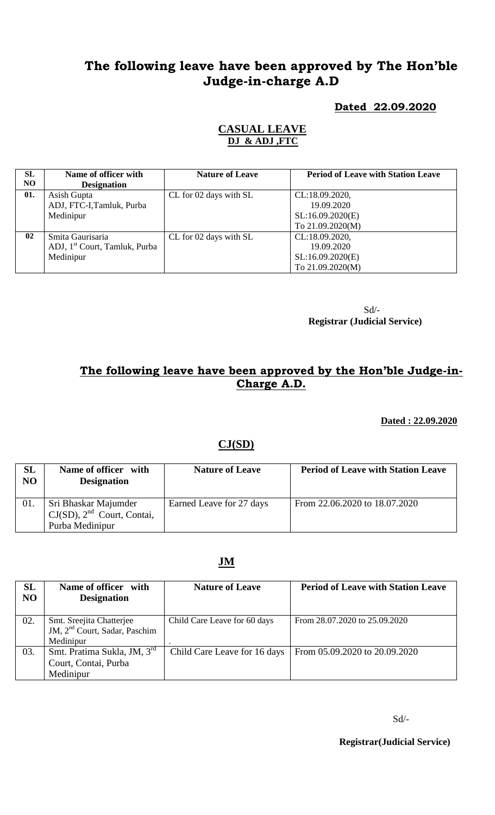# **The following leave have been approved by The Hon'ble Judge-in-charge A.D**

### **Dated 22.09.2020**

#### **CASUAL LEAVE DJ & ADJ ,FTC**

| SL<br>NO. | Name of officer with                      | <b>Nature of Leave</b> | <b>Period of Leave with Station Leave</b> |
|-----------|-------------------------------------------|------------------------|-------------------------------------------|
|           | <b>Designation</b>                        |                        |                                           |
| 01.       | Asish Gupta                               | CL for 02 days with SL | CL:18.09.2020,                            |
|           | ADJ, FTC-I, Tamluk, Purba                 |                        | 19.09.2020                                |
|           | Medinipur                                 |                        | SL:16.09.2020(E)                          |
|           |                                           |                        | To 21.09.2020(M)                          |
| 02        | Smita Gaurisaria                          | CL for 02 days with SL | CL:18.09.2020,                            |
|           | ADJ, 1 <sup>st</sup> Court, Tamluk, Purba |                        | 19.09.2020                                |
|           | Medinipur                                 |                        | SL:16.09.2020(E)                          |
|           |                                           |                        | To 21.09.2020(M)                          |

Sd/- **Registrar (Judicial Service)**

## **The following leave have been approved by the Hon'ble Judge-in-Charge A.D.**

 **Dated : 22.09.2020**

### **CJ(SD)**

| SL<br>N <sub>O</sub> | Name of officer with<br><b>Designation</b>                                 | <b>Nature of Leave</b>   | <b>Period of Leave with Station Leave</b> |
|----------------------|----------------------------------------------------------------------------|--------------------------|-------------------------------------------|
| 01.                  | Sri Bhaskar Majumder<br>$CJ(SD)$ , $2nd$ Court, Contai,<br>Purba Medinipur | Earned Leave for 27 days | From 22.06.2020 to 18.07.2020             |

#### **JM**

| SL<br>N <sub>O</sub> | Name of officer with<br><b>Designation</b>                                         | <b>Nature of Leave</b>       | <b>Period of Leave with Station Leave</b> |
|----------------------|------------------------------------------------------------------------------------|------------------------------|-------------------------------------------|
| 02.                  | Smt. Sreejita Chatterjee<br>JM, 2 <sup>nd</sup> Court, Sadar, Paschim<br>Medinipur | Child Care Leave for 60 days | From 28.07.2020 to 25.09.2020             |
| 03.                  | Smt. Pratima Sukla, JM, 3 <sup>rd</sup><br>Court, Contai, Purba<br>Medinipur       | Child Care Leave for 16 days | From 05.09.2020 to 20.09.2020             |

**Registrar(Judicial Service)**